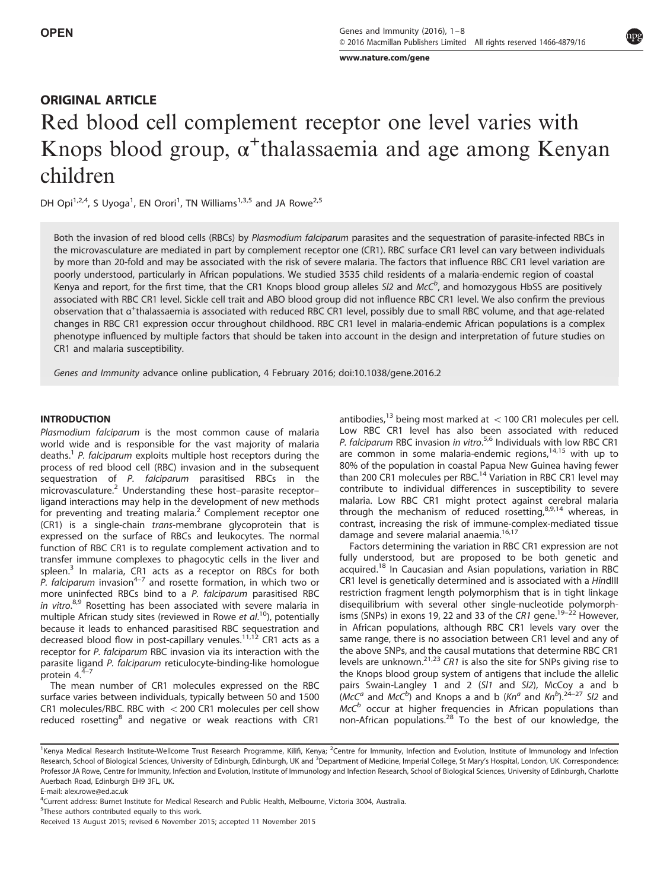www.nature.com/gene [www.nature.com/gene](http://www.nature.com/gene)ral

# ORIGINAL ARTICLE Red blood cell complement receptor one level varies with Knops blood group, α + thalassaemia and age among Kenyan children

DH Opi<sup>1,2,4</sup>, S Uyoga<sup>1</sup>, EN Orori<sup>1</sup>, TN Williams<sup>1,3,5</sup> and JA Rowe<sup>2,5</sup>

Both the invasion of red blood cells (RBCs) by Plasmodium falciparum parasites and the sequestration of parasite-infected RBCs in the microvasculature are mediated in part by complement receptor one (CR1). RBC surface CR1 level can vary between individuals by more than 20-fold and may be associated with the risk of severe malaria. The factors that influence RBC CR1 level variation are poorly understood, particularly in African populations. We studied 3535 child residents of a malaria-endemic region of coastal Kenya and report, for the first time, that the CR1 Knops blood group alleles SI2 and McC<sup>b</sup>, and homozygous HbSS are positively associated with RBC CR1 level. Sickle cell trait and ABO blood group did not influence RBC CR1 level. We also confirm the previous observation that α<sup>+</sup>thalassaemia is associated with reduced RBC CR1 level, possibly due to small RBC volume, and that age-related changes in RBC CR1 expression occur throughout childhood. RBC CR1 level in malaria-endemic African populations is a complex phenotype influenced by multiple factors that should be taken into account in the design and interpretation of future studies on CR1 and malaria susceptibility.

Genes and Immunity advance online publication, 4 February 2016; doi:[10.1038/gene.2016.2](http://dx.doi.org/10.1038/gene.2016.2)

### **INTRODUCTION**

Plasmodium falciparum is the most common cause of malaria world wide and is responsible for the vast majority of malaria deaths.<sup>[1](#page-6-0)</sup> P. falciparum exploits multiple host receptors during the process of red blood cell (RBC) invasion and in the subsequent sequestration of P. falciparum parasitised RBCs in the microvasculature.[2](#page-6-0) Understanding these host–parasite receptor– ligand interactions may help in the development of new methods for preventing and treating malaria.<sup>[2](#page-6-0)</sup> Complement receptor one (CR1) is a single-chain trans-membrane glycoprotein that is expressed on the surface of RBCs and leukocytes. The normal function of RBC CR1 is to regulate complement activation and to transfer immune complexes to phagocytic cells in the liver and spleen.<sup>3</sup> In malaria, [CR1](#page-6-0) acts as a receptor on RBCs for both P. falciparum invasion<sup>4-7</sup> and rosette formation, in which two or more uninfected RBCs bind to a P. falciparum parasitised RBC in vitro.<sup>[8,9](#page-6-0)</sup> Rosetting has been associated with severe malaria in multiple African study sites (reviewed in Rowe et al.<sup>[10](#page-6-0)</sup>), potentially because it leads to enhanced parasitised RBC sequestration and decreased blood flow in post-capillary venules.<sup>[11,12](#page-6-0)</sup> CR1 acts as a receptor for P. falciparum RBC invasion via its interaction with the parasite l[igan](#page-6-0)d P. falciparum reticulocyte-binding-like homologue protein  $4.^{4-7}$ 

The mean number of CR1 molecules expressed on the RBC surface varies between individuals, typically between 50 and 1500 CR1 molecules/RBC. RBC with  $<$  200 CR1 molecules per cell show reduced rosetting<sup>[8](#page-6-0)</sup> and negative or weak reactions with CR1 antibodies,<sup>[13](#page-6-0)</sup> being most marked at  $<$  100 CR1 molecules per cell. Low RBC CR1 level has also been associated with reduced P. falciparum RBC invasion in vitro.<sup>[5](#page-6-0),[6](#page-6-0)</sup> Individuals with low RBC CR1 are common in some malaria-endemic regions, $14,15$  with up to 80% of the population in coastal Papua New Guinea having fewer than 200 CR1 molecules per RBC.<sup>[14](#page-6-0)</sup> Variation in RBC CR1 level may contribute to individual differences in susceptibility to severe malaria. Low RBC CR1 might protect against cerebral malaria through the mechanism of reduced rosetting, $8,9,14$  whereas, in contrast, increasing the risk of immune-complex-mediated tissue damage and severe malarial anaemia.<sup>[16,17](#page-6-0)</sup>

Factors determining the variation in RBC CR1 expression are not fully understood, but are proposed to be both genetic and acquired.<sup>18</sup> In Caucasian and Asian populations, variation in RBC CR1 level is genetically determined and is associated with a HindIII restriction fragment length polymorphism that is in tight linkage disequilibrium with several other single-nucleotide polymorph-isms (SNPs) in exons [19](#page-6-0), 22 and 33 of the CR1 gene.<sup>19–22</sup> However, in African populations, although RBC CR1 levels vary over the same range, there is no association between CR1 level and any of the above SNPs, and the causal mutations that determine RBC CR1 levels are unknown.[21,23](#page-6-0) CR1 is also the site for SNPs giving rise to the Knops blood group system of antigens that include the allelic pairs Swain-Langley 1 and 2 (Sl1 and Sl2), McCoy a and b  $(McC<sup>a</sup>$  and  $McC<sup>b</sup>$ ) and Knops a and b  $(Kn<sup>a</sup>$  and  $Kn<sup>b</sup>)$ . [24](#page-6-0)-27 Sl2 and  $McC<sup>b</sup>$  occur at higher frequencies in African populations than non-African populations.[28](#page-6-0) To the best of our knowledge, the

<sup>&</sup>lt;sup>1</sup>Kenya Medical Research Institute-Wellcome Trust Research Programme, Kilifi, Kenya; <sup>2</sup>Centre for Immunity, Infection and Evolution, Institute of Immunology and Infection Research, School of Biological Sciences, University of Edinburgh, Edinburgh, UK and <sup>3</sup>Department of Medicine, Imperial College, St Mary's Hospital, London, UK. Correspondence: Professor JA Rowe, Centre for Immunity, Infection and Evolution, Institute of Immunology and Infection Research, School of Biological Sciences, University of Edinburgh, Charlotte Auerbach Road, Edinburgh EH9 3FL, UK.

E-mail: [alex.rowe@ed.ac.uk](mailto:alex.rowe@ed.ac.uk)

<sup>4</sup> Current address: Burnet Institute for Medical Research and Public Health, Melbourne, Victoria 3004, Australia.

<sup>&</sup>lt;sup>5</sup>These authors contributed equally to this work.

Received 13 August 2015; revised 6 November 2015; accepted 11 November 2015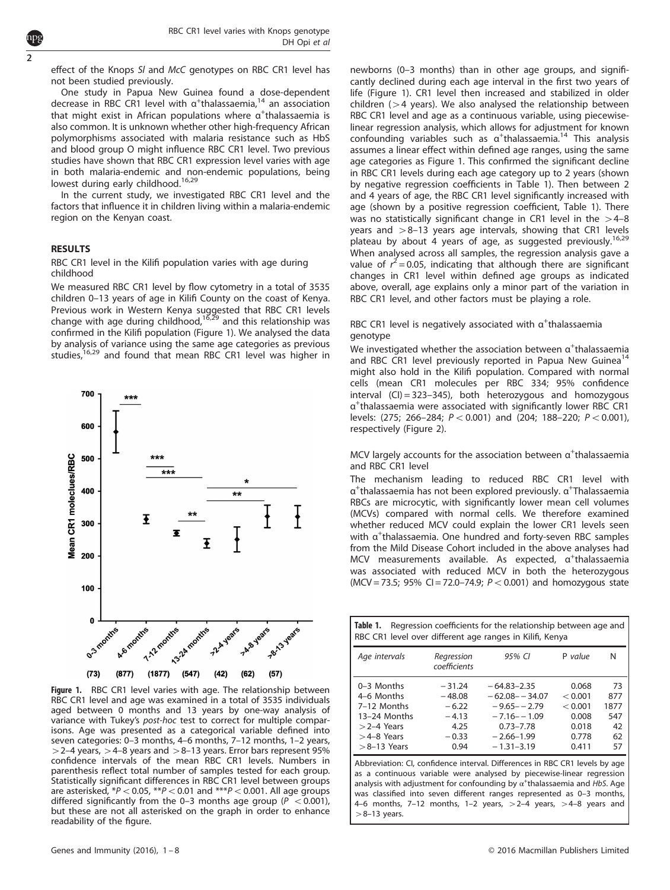effect of the Knops SI and McC genotypes on RBC CR1 level has not been studied previously.

One study in Papua New Guinea found a dose-dependent decrease in RBC CR1 level with  $\alpha^+$ thalassaemia,<sup>[14](#page-6-0)</sup> an association that might exist in African populations where  $\alpha^+$ thalassaemia is also common. It is unknown whether other high-frequency African polymorphisms associated with malaria resistance such as HbS and blood group O might influence RBC CR1 level. Two previous studies have shown that RBC CR1 expression level varies with age in both malaria-endemic and non-endemic populations, being lowest during early childhood.<sup>[16,29](#page-6-0)</sup>

In the current study, we investigated RBC CR1 level and the factors that influence it in children living within a malaria-endemic region on the Kenyan coast.

#### **RESULTS**

<span id="page-1-0"></span>2

RBC CR1 level in the Kilifi population varies with age during childhood

We measured RBC CR1 level by flow cytometry in a total of 3535 children 0–13 years of age in Kilifi County on the coast of Kenya. Previous work in Western Kenya suggested that RBC CR1 levels change with age during childhood, $16,29$  and this relationship was confirmed in the Kilifi population (Figure 1). We analysed the data by analysis of variance using the same age categories as previous studies,<sup>[16](#page-6-0),[29](#page-6-0)</sup> and found that mean RBC CR1 level was higher in



Figure 1. RBC CR1 level varies with age. The relationship between RBC CR1 level and age was examined in a total of 3535 individuals aged between 0 months and 13 years by one-way analysis of variance with Tukey's post-hoc test to correct for multiple comparisons. Age was presented as a categorical variable defined into seven categories: 0–3 months, 4–6 months, 7–12 months, 1–2 years,  $>$  2–4 years,  $>$  4–8 years and  $>$  8–13 years. Error bars represent 95% confidence intervals of the mean RBC CR1 levels. Numbers in parenthesis reflect total number of samples tested for each group. Statistically significant differences in RBC CR1 level between groups are asterisked,  $*P < 0.05$ ,  $*P < 0.01$  and  $**P < 0.001$ . All age groups differed significantly from the 0–3 months age group ( $P < 0.001$ ), but these are not all asterisked on the graph in order to enhance readability of the figure.

newborns (0–3 months) than in other age groups, and significantly declined during each age interval in the first two years of life (Figure 1). CR1 level then increased and stabilized in older children ( $>4$  years). We also analysed the relationship between RBC CR1 level and age as a continuous variable, using piecewiselinear regression analysis, which allows for adjustment for known confounding variables such as  $\alpha^+$ thalassaemia.<sup>[14](#page-6-0)</sup> This analysis assumes a linear effect within defined age ranges, using the same age categories as Figure 1. This confirmed the significant decline in RBC CR1 levels during each age category up to 2 years (shown by negative regression coefficients in Table 1). Then between 2 and 4 years of age, the RBC CR1 level significantly increased with age (shown by a positive regression coefficient, Table 1). There was no statistically significant change in CR1 level in the  $>4-8$ years and  $>8-13$  years age intervals, showing that CR1 levels plateau by about 4 years of age, as suggested previously.<sup>[16](#page-6-0),[29](#page-6-0)</sup> When analysed across all samples, the regression analysis gave a value of  $r^2$  = 0.05, indicating that although there are significant changes in CR1 level within defined age groups as indicated above, overall, age explains only a minor part of the variation in RBC CR1 level, and other factors must be playing a role.

### RBC CR1 level is negatively associated with  $\alpha^+$ thalassaemia genotype

We investigated whether the association between  $\alpha^+$ thalassaemia and RBC CR1 level previously reported in Papua New Guinea<sup>[14](#page-6-0)</sup> might also hold in the Kilifi population. Compared with normal cells (mean CR1 molecules per RBC 334; 95% confidence interval  $(CI) = 323-345$ , both heterozygous and homozygous α+ thalassaemia were associated with significantly lower RBC CR1 levels: (275; 266-284;  $P < 0.001$ ) and (204; 188-220;  $P < 0.001$ ), respectively [\(Figure 2](#page-2-0)).

MCV largely accounts for the association between  $\alpha^+$ thalassaemia and RBC CR1 level

The mechanism leading to reduced RBC CR1 level with α<sup>+</sup>thalassaemia has not been explored previously. α<sup>+</sup>Thalassaemia RBCs are microcytic, with significantly lower mean cell volumes (MCVs) compared with normal cells. We therefore examined whether reduced MCV could explain the lower CR1 levels seen with α<sup>+</sup>thalassaemia. One hundred and forty-seven RBC samples from the Mild Disease Cohort included in the above analyses had MCV measurements available. As expected, α<sup>+</sup>thalassaemia was associated with reduced MCV in both the heterozygous  $(MCV = 73.5; 95\% CI = 72.0 - 74.9; P < 0.001)$  and homozygous state

| Regression coefficients for the relationship between age and<br>Table 1.<br>RBC CR1 level over different age ranges in Kilifi, Kenya |                                                                       |                                                                                                                             |                                                                 |                                            |
|--------------------------------------------------------------------------------------------------------------------------------------|-----------------------------------------------------------------------|-----------------------------------------------------------------------------------------------------------------------------|-----------------------------------------------------------------|--------------------------------------------|
| Age intervals                                                                                                                        | Regression<br>coefficients                                            | 95% CI                                                                                                                      | P value                                                         | N                                          |
| $0-3$ Months<br>4-6 Months<br>7-12 Months<br>13-24 Months<br>$>$ 2-4 Years<br>$>4-8$ Years<br>$>8-13$ Years                          | $-31.24$<br>$-48.08$<br>$-6.22$<br>$-4.13$<br>4.25<br>$-0.33$<br>0.94 | $-64.83 - 2.35$<br>$-62.08 - -34.07$<br>$-9.65 - -2.79$<br>$-7.16 - -1.09$<br>$0.73 - 7.78$<br>$-2.66-1.99$<br>$-1.31-3.19$ | 0.068<br>< 0.001<br>< 0.001<br>0.008<br>0.018<br>0.778<br>0.411 | 73<br>877<br>1877<br>547<br>42<br>62<br>57 |

Abbreviation: CI, confidence interval. Differences in RBC CR1 levels by age as a continuous variable were analysed by piecewise-linear regression analysis with adjustment for confounding by  $\alpha^+$ thalassaemia and HbS. Age was classified into seven different ranges represented as 0–3 months, 4–6 months, 7–12 months, 1–2 years,  $>2-4$  years,  $>4-8$  years and  $>8-13$  years.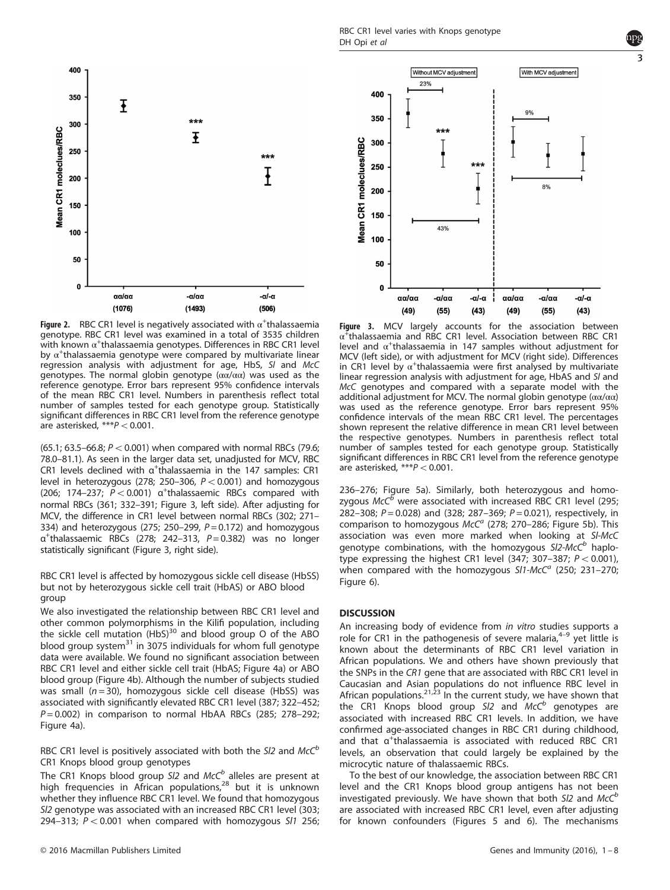RBC CR1 level varies with Knops genotype DH Opi et al

<span id="page-2-0"></span>

**Figure 2.** RBC CR1 level is negatively associated with α<sup>+</sup>thalassaemia<br>genotype. RBC CR1 level was examined in a total of 3535 children genotype. RBC CR1 level was examined in a total of 3535 children  $\frac{1}{2}$  with known  $\alpha^+$ thalassaemia genotypes. Differences in RBC CR1 level by  $\alpha^+$ thalassaemia genotype were compared by multivariate linear regression analysis with adjustment for age, HbS, Sl and McC genotypes. The normal globin genotype  $(\alpha\alpha/\alpha\alpha)$  was used as the reference genotype. Error bars represent 95% confidence intervals of the mean RBC CR1 level. Numbers in parenthesis reflect total number of samples tested for each genotype group. Statistically significant differences in RBC CR1 level from the reference genotype are asterisked,  $***P<0.001$ .

(65.1; 63.5–66.8;  $P < 0.001$ ) when compared with normal RBCs (79.6; 78.0–81.1). As seen in the larger data set, unadjusted for MCV, RBC CR1 levels declined with  $\alpha^+$ thalassaemia in the 147 samples: CR1 level in heterozygous (278; 250–306,  $P < 0.001$ ) and homozygous (206; 174-237;  $P < 0.001$ ) a<sup>+</sup>thalassaemic RBCs compared with normal RBCs (361; 332–391; Figure 3, left side). After adjusting for MCV, the difference in CR1 level between normal RBCs (302; 271– 334) and heterozygous (275; 250–299,  $P = 0.172$ ) and homozygous  $\alpha^+$ thalassaemic RBCs (278; 242-313,  $P = 0.382$ ) was no longer statistically significant (Figure 3, right side).

### RBC CR1 level is affected by homozygous sickle cell disease (HbSS) but not by heterozygous sickle cell trait (HbAS) or ABO blood group

We also investigated the relationship between RBC CR1 level and other common polymorphisms in the Kilifi population, including the sickle cell mutation (HbS)<sup>30</sup> and blood group O of the ABO blood group system $31$  in 3075 individuals for whom full genotype data were available. We found no significant association between RBC CR1 level and either sickle cell trait (HbAS; [Figure 4a\)](#page-3-0) or ABO blood group [\(Figure 4b\)](#page-3-0). Although the number of subjects studied was small  $(n = 30)$ , homozygous sickle cell disease (HbSS) was associated with significantly elevated RBC CR1 level (387; 322–452;  $P = 0.002$ ) in comparison to normal HbAA RBCs (285; 278–292; [Figure 4a](#page-3-0)).

RBC CR1 level is positively associated with both the  $SI2$  and  $McC^b$ CR1 Knops blood group genotypes

The CR1 Knops blood group  $S/2$  and  $McC<sup>b</sup>$  alleles are present at high frequencies in African populations,[28](#page-6-0) but it is unknown whether they influence RBC CR1 level. We found that homozygous Sl2 genotype was associated with an increased RBC CR1 level (303; 294–313;  $P < 0.001$  when compared with homozygous Sl1 256;



**Figure 3.** MCV largely accounts for the association between<br>α<sup>+</sup>thalassaemia and RBC CR1 level. Association between RBC CR1 level and  $\alpha^*$ thalassaemia in 147 samples without adjustment for MCV (left side), or with adjustment for MCV (right side). Differences in CR1 level by  $\alpha^+$ thalassaemia were first analysed by multivariate linear regression analysis with adjustment for age, HbAS and Sl and McC genotypes and compared with a separate model with the additional adjustment for MCV. The normal globin genotype  $(\alpha\alpha/\alpha\alpha)$ was used as the reference genotype. Error bars represent 95% confidence intervals of the mean RBC CR1 level. The percentages shown represent the relative difference in mean CR1 level between the respective genotypes. Numbers in parenthesis reflect total number of samples tested for each genotype group. Statistically significant differences in RBC CR1 level from the reference genotype are asterisked,  $***P<0.001$ .

236–276; [Figure 5a](#page-3-0)). Similarly, both heterozygous and homozygous  $McC^b$  were associated with increased RBC CR1 level (295; 282–308;  $P = 0.028$ ) and (328; 287–369;  $P = 0.021$ ), respectively, in comparison to homozygous  $McC<sup>a</sup>$  (278; 270–286; [Figure 5b\)](#page-3-0). This association was even more marked when looking at Sl-McC genotype combinations, with the homozygous  $SI2-McC<sup>b</sup>$  haplotype expressing the highest CR1 level (347; 307-387;  $P < 0.001$ ), when compared with the homozygous  $SI1$ -McC<sup>a</sup> (250; 231-270; [Figure 6\)](#page-4-0).

An increasing body of evidence from in vitro stud[ies](#page-6-0) supports a role for CR1 in the pathogenesis of severe malaria, $4-9$  yet little is known about the determinants of RBC CR1 level variation in African populations. We and others have shown previously that the SNPs in the CR1 gene that are associated with RBC CR1 level in Caucasian and Asian populations do not influence RBC level in African populations.<sup>[21,23](#page-6-0)</sup> In the current study, we have shown that the CR1 Knops blood group  $SI2$  and  $McC<sup>b</sup>$  genotypes are associated with increased RBC CR1 levels. In addition, we have confirmed age-associated changes in RBC CR1 during childhood, and that α<sup>+</sup>thalassaemia is associated with reduced RBC CR1 levels, an observation that could largely be explained by the microcytic nature of thalassaemic RBCs.

To the best of our knowledge, the association between RBC CR1 level and the CR1 Knops blood group antigens has not been investigated previously. We have shown that both  $SI2$  and  $McC^b$ are associated with increased RBC CR1 level, even after adjusting for known confounders [\(Figures 5](#page-3-0) and [6](#page-4-0)). The mechanisms 3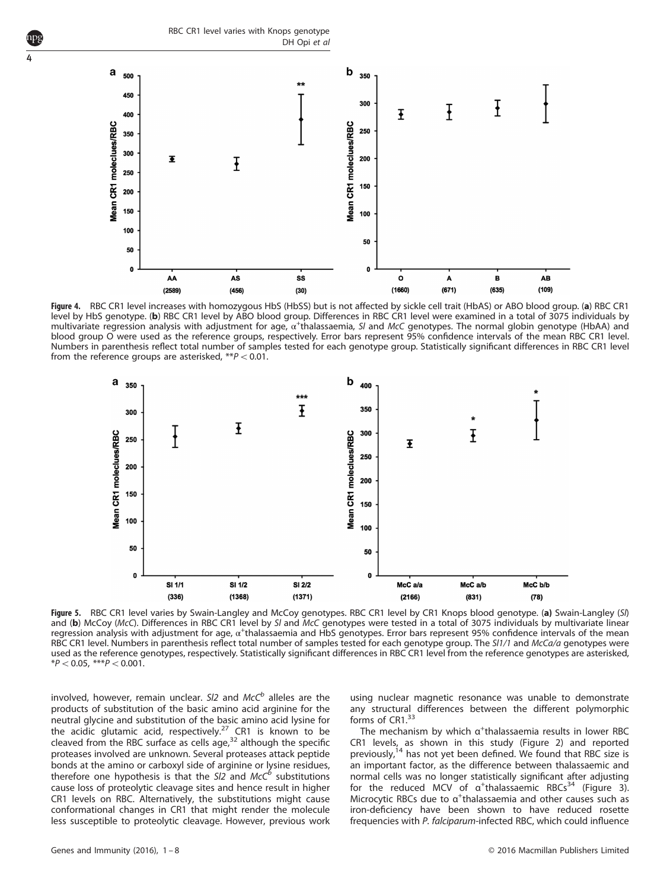RBC CR1 level varies with Knops genotype DH Opi et al

<span id="page-3-0"></span>4



Figure 4. RBC CR1 level increases with homozygous HbS (HbSS) but is not affected by sickle cell trait (HbAS) or ABO blood group. (a) RBC CR1 level by HbS genotype. (b) RBC CR1 level by ABO blood group. Differences in RBC CR1 level were examined in a total of 3075 individuals by multivariate regression analysis with adjustment for age,  $\alpha^+$ thalassaemia, SI and McC genotypes. The normal globin genotype (HbAA) and blood group O were used as the reference groups, respectively. Error bars represent 95% confidence intervals of the mean RBC CR1 level. Numbers in parenthesis reflect total number of samples tested for each genotype group. Statistically significant differences in RBC CR1 level from the reference groups are asterisked,  $**P < 0.01$ .



Figure 5. RBC CR1 level varies by Swain-Langley and McCoy genotypes. RBC CR1 level by CR1 Knops blood genotype. (a) Swain-Langley (SI) and (b) McCoy (McC). Differences in RBC CR1 level by SI and McC genotypes were tested in a total of 3075 individuals by multivariate linear regression analysis with adjustment for age, α<sup>+</sup>thalassaemia and HbS genotypes. Error bars represent 95% confidence intervals of the mean RBC CR1 level. Numbers in parenthesis reflect total number of samples tested for each genotype group. The SI1/1 and McCa/a genotypes were used as the reference genotypes, respectively. Statistically significant differences in RBC CR1 level from the reference genotypes are asterisked, \* $P < 0.05$ , \*\*\* $P < 0.001$ .

involved, however, remain unclear. SI2 and  $McC<sup>b</sup>$  alleles are the products of substitution of the basic amino acid arginine for the neutral glycine and substitution of the basic amino acid lysine for the acidic glutamic acid, respectively.<sup>[27](#page-6-0)</sup> CR1 is known to be cleaved from the RBC surface as cells age, $32$  although the specific proteases involved are unknown. Several proteases attack peptide bonds at the amino or carboxyl side of arginine or lysine residues, therefore one hypothesis is that the  $SI2$  and  $McC<sup>6</sup>$  substitutions cause loss of proteolytic cleavage sites and hence result in higher CR1 levels on RBC. Alternatively, the substitutions might cause conformational changes in CR1 that might render the molecule less susceptible to proteolytic cleavage. However, previous work using nuclear magnetic resonance was unable to demonstrate any structural differences between the different polymorphic forms of CR1.<sup>[33](#page-6-0)</sup>

The mechanism by which  $\alpha^+$ thalassaemia results in lower RBC CR1 levels, as shown in this study ([Figure 2\)](#page-2-0) and reported previously,<sup>[14](#page-6-0)</sup> has not yet been defined. We found that RBC size is an important factor, as the difference between thalassaemic and normal cells was no longer statistically significant after adjusting for the reduced MCV of  $\alpha^+$ thalassaemic RBCs<sup>[34](#page-6-0)</sup> [\(Figure 3](#page-2-0)). Microcytic RBCs due to a<sup>+</sup>thalassaemia and other causes such as iron-deficiency have been shown to have reduced rosette frequencies with P. falciparum-infected RBC, which could influence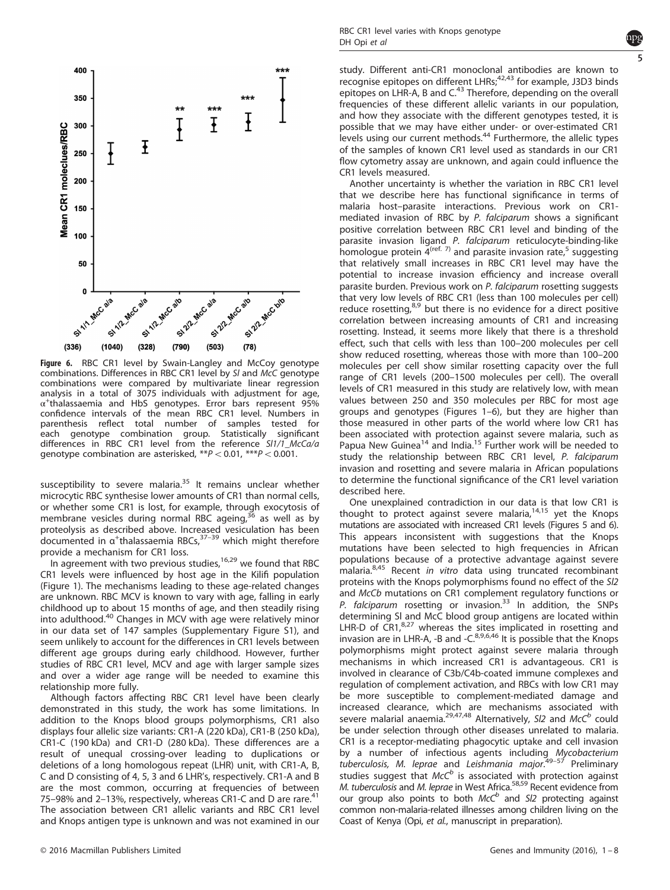<span id="page-4-0"></span>

Figure 6. RBC CR1 level by Swain-Langley and McCoy genotype combinations. Differences in RBC CR1 level by Sl and McC genotype combinations were compared by multivariate linear regression analysis in a total of 3075 individuals with adjustment for age,  $\alpha^+$ thalassaemia and HbS genotypes. Error bars represent 95% confidence intervals of the mean RBC CR1 level. Numbers in parenthesis reflect total number of samples tested for each genotype combination group. Statistically significant differences in RBC CR1 level from the reference Sl1/1\_McCa/a genotype combination are asterisked,  $**P<0.01$ ,  $***P<0.001$ .

susceptibility to severe malaria. $35$  It remains unclear whether microcytic RBC synthesise lower amounts of CR1 than normal cells, or whether some CR1 is lost, for example, through exocytosis of membrane vesicles during normal RBC ageing,  $36$  as well as by proteolysis as described above. Incr[eased](#page-6-0) vesiculation has been<br>documented in α<sup>+</sup>thalassaemia RBCs,<sup>37–39</sup> which might therefore provide a mechanism for CR1 loss.

In agreement with two previous studies,  $16,29$  we found that RBC CR1 levels were influenced by host age in the Kilifi population [\(Figure 1](#page-1-0)). The mechanisms leading to these age-related changes are unknown. RBC MCV is known to vary with age, falling in early childhood up to about 15 months of age, and then steadily rising into adulthood.<sup>[40](#page-6-0)</sup> Changes in MCV with age were relatively minor in our data set of 147 samples (Supplementary Figure S1), and seem unlikely to account for the differences in CR1 levels between different age groups during early childhood. However, further studies of RBC CR1 level, MCV and age with larger sample sizes and over a wider age range will be needed to examine this relationship more fully.

Although factors affecting RBC CR1 level have been clearly demonstrated in this study, the work has some limitations. In addition to the Knops blood groups polymorphisms, CR1 also displays four allelic size variants: CR1-A (220 kDa), CR1-B (250 kDa), CR1-C (190 kDa) and CR1-D (280 kDa). These differences are a result of unequal crossing-over leading to duplications or deletions of a long homologous repeat (LHR) unit, with CR1-A, B, C and D consisting of 4, 5, 3 and 6 LHR's, respectively. CR1-A and B are the most common, occurring at frequencies of between 75–98% and 2–13%, respectively, whereas CR1-C and D are rare.<sup>[41](#page-6-0)</sup> The association between CR1 allelic variants and RBC CR1 level and Knops antigen type is unknown and was not examined in our



study. Different anti-CR1 monoclonal antibodies are known to recognise epitopes on different LHRs; $42,43$  for example, J3D3 binds epitopes on LHR-A, B and  $C^{43}$  $C^{43}$  $C^{43}$  Therefore, depending on the overall frequencies of these different allelic variants in our population, and how they associate with the different genotypes tested, it is possible that we may have either under- or over-estimated CR1 levels using our current methods.<sup>[44](#page-6-0)</sup> Furthermore, the allelic types of the samples of known CR1 level used as standards in our CR1 flow cytometry assay are unknown, and again could influence the CR1 levels measured.

Another uncertainty is whether the variation in RBC CR1 level that we describe here has functional significance in terms of malaria host–parasite interactions. Previous work on CR1 mediated invasion of RBC by P. falciparum shows a significant positive correlation between RBC CR1 level and binding of the parasite invasion ligand P. falciparum reticulocyte-binding-like homologue protein  $\overline{4}^{(ref. 7)}$  and parasite invasion rate,<sup>[5](#page-6-0)</sup> suggesting that relatively small increases in RBC CR1 level may have the potential to increase invasion efficiency and increase overall parasite burden. Previous work on P. falciparum rosetting suggests that very low levels of RBC CR1 (less than 100 molecules per cell) reduce rosetting, $8,9$  but there is no evidence for a direct positive correlation between increasing amounts of CR1 and increasing rosetting. Instead, it seems more likely that there is a threshold effect, such that cells with less than 100–200 molecules per cell show reduced rosetting, whereas those with more than 100–200 molecules per cell show similar rosetting capacity over the full range of CR1 levels (200–1500 molecules per cell). The overall levels of CR1 measured in this study are relatively low, with mean values between 250 and 350 molecules per RBC for most age groups and genotypes ([Figures 1](#page-1-0)–6), but they are higher than those measured in other parts of the world where low CR1 has been associated with protection against severe malaria, such as Papua New Guinea<sup>[14](#page-6-0)</sup> and India.<sup>[15](#page-6-0)</sup> Further work will be needed to study the relationship between RBC CR1 level, P. falciparum invasion and rosetting and severe malaria in African populations to determine the functional significance of the CR1 level variation described here.

One unexplained contradiction in our data is that low CR1 is thought to protect against severe malaria, $14,15$  $14,15$  $14,15$  yet the Knops mutations are associated with increased CR1 levels ([Figures 5](#page-3-0) and 6). This appears inconsistent with suggestions that the Knops mutations have been selected to high frequencies in African populations because of a protective advantage against severe malaria.<sup>[8](#page-6-0),[45](#page-6-0)</sup> Recent in vitro data using truncated recombinant proteins with the Knops polymorphisms found no effect of the Sl2 and McCb mutations on CR1 complement regulatory functions or P. falciparum rosetting or invasion.<sup>[33](#page-6-0)</sup> In addition, the SNPs determining Sl and McC blood group antigens are located within LHR-D of CR1,<sup>[8,27](#page-6-0)</sup> whereas the sites implicated in rosetting and invasion are in LHR-A, -B and -C. $8,9,6,46$  $8,9,6,46$  $8,9,6,46$  It is possible that the Knops polymorphisms might protect against severe malaria through mechanisms in which increased CR1 is advantageous. CR1 is involved in clearance of C3b/C4b-coated immune complexes and regulation of complement activation, and RBCs with low CR1 may be more susceptible to complement-mediated damage and increased clearance, which are mechanisms associated with severe malarial anaemia.<sup>[29,47,48](#page-6-0)</sup> Alternatively, SI2 and McC<sup>b</sup> could be under selection through other diseases unrelated to malaria. CR1 is a receptor-mediating phagocytic uptake and cell invasion by a number of infectious agents including Mycobacterium tuberculosis, M. leprae and Leishmania major.<sup>49–[57](#page-7-0)</sup> Preliminary studies suggest that  $McC^b$  is associated with protection against M. tuberculosis and M. leprae in West Africa.<sup>58,59</sup> Recent evidence from our group also points to both  $McC^b$  and SI2 protecting against common non-malaria-related illnesses among children living on the Coast of Kenya (Opi, et al., manuscript in preparation).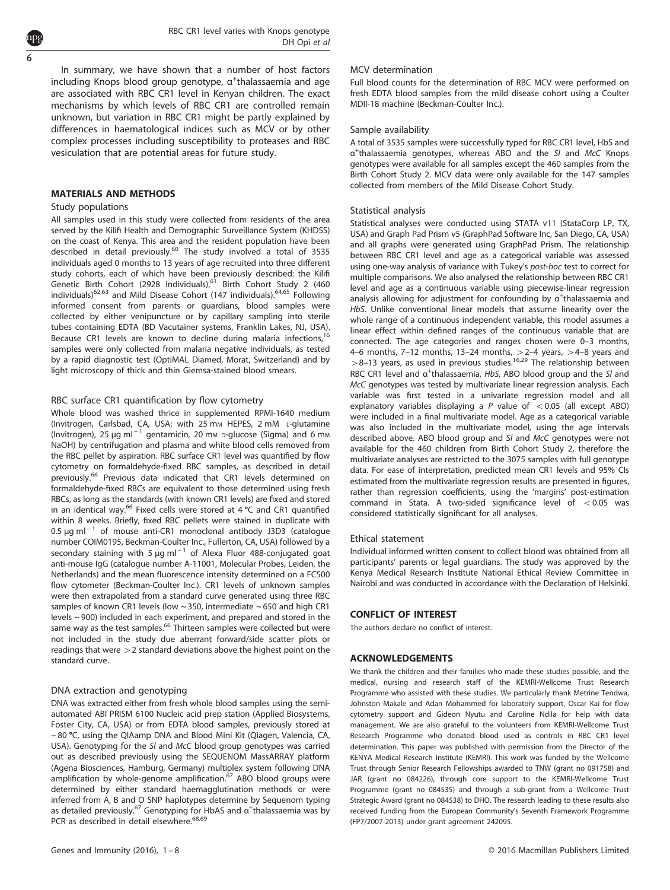In summary, we have shown that a number of host factors including Knops blood group genotype,  $\alpha^+$ thalassaemia and age are associated with RBC CR1 level in Kenyan children. The exact mechanisms by which levels of RBC CR1 are controlled remain unknown, but variation in RBC CR1 might be partly explained by differences in haematological indices such as MCV or by other complex processes including susceptibility to proteases and RBC vesiculation that are potential areas for future study.

## Study populations

All samples used in this study were collected from residents of the area served by the Kilifi Health and Demographic Surveillance System (KHDSS) on the coast of Kenya. This area and the resident population have been described in detail previously.<sup>[60](#page-7-0)</sup> The study involved a total of 3535 individuals aged 0 months to 13 years of age recruited into three different study cohorts, each of which have been previously described: the Kilifi Genetic Birth Cohort (2928 individuals),<sup>[61](#page-7-0)</sup> Birth Cohort Study 2 (460 individuals[\)62](#page-7-0),[63](#page-7-0) and Mild Disease Cohort (147 individuals).[64,65](#page-7-0) Following informed consent from parents or guardians, blood samples were collected by either venipuncture or by capillary sampling into sterile tubes containing EDTA (BD Vacutainer systems, Franklin Lakes, NJ, USA). Because CR1 levels are known to decline during malaria infections,<sup>[16](#page-6-0)</sup> samples were only collected from malaria negative individuals, as tested by a rapid diagnostic test (OptiMAL Diamed, Morat, Switzerland) and by light microscopy of thick and thin Giemsa-stained blood smears.

#### RBC surface CR1 quantification by flow cytometry

Whole blood was washed thrice in supplemented RPMI-1640 medium (Invitrogen, Carlsbad, CA, USA; with 25 mm HEPES, 2 mM L-glutamine (Invitrogen), 25  $\mu$ g ml<sup>-1</sup> gentamicin, 20 mm D-glucose (Sigma) and 6 mm NaOH) by centrifugation and plasma and white blood cells removed from the RBC pellet by aspiration. RBC surface CR1 level was quantified by flow cytometry on formaldehyde-fixed RBC samples, as described in detail previously.<sup>[66](#page-7-0)</sup> Previous data indicated that CR1 levels determined on formaldehyde-fixed RBCs are equivalent to those determined using fresh RBCs, as long as the standards (with known CR1 levels) are fixed and stored in an identical way.<sup>[66](#page-7-0)</sup> Fixed cells were stored at 4 °C and CR1 quantified within 8 weeks. Briefly, fixed RBC pellets were stained in duplicate with  $0.5 \mu$ g ml<sup>-1</sup> of mouse anti-CR1 monoclonal antibody J3D3 (catalogue number COIM0195, Beckman-Coulter Inc., Fullerton, CA, USA) followed by a secondary staining with 5  $\mu$ g ml<sup>-1</sup> of Alexa Fluor 488-conjugated goat anti-mouse IgG (catalogue number A-11001, Molecular Probes, Leiden, the Netherlands) and the mean fluorescence intensity determined on a FC500 flow cytometer (Beckman-Coulter Inc.). CR1 levels of unknown samples were then extrapolated from a standard curve generated using three RBC samples of known CR1 levels (low  $\sim$  350, intermediate  $\sim$  650 and high CR1 levels ~ 900) included in each experiment, and prepared and stored in the same way as the test samples.<sup>[66](#page-7-0)</sup> Thirteen samples were collected but were not included in the study due aberrant forward/side scatter plots or readings that were  $>$  2 standard deviations above the highest point on the standard curve.

### DNA extraction and genotyping

DNA was extracted either from fresh whole blood samples using the semiautomated ABI PRISM 6100 Nucleic acid prep station (Applied Biosystems, Foster City, CA, USA) or from EDTA blood samples, previously stored at <sup>−</sup> <sup>80</sup> °C, using the QIAamp DNA and Blood Mini Kit (Qiagen, Valencia, CA, USA). Genotyping for the SI and McC blood group genotypes was carried out as described previously using the SEQUENOM MassARRAY platform (Agena Biosciences, Hamburg, Germany) multiplex system following DNA amplification by whole-genome amplification.<sup>67</sup> ABO blood groups were determined by either standard haemagglutination methods or were inferred from A, B and O SNP haplotypes determine by Sequenom typing as detailed previously.<sup>[67](#page-7-0)</sup> Genotyping for HbAS and α<sup>+</sup>thalassaemia was by PCR as described in detail elsewhere.<sup>[68,69](#page-7-0)</sup>

#### MCV determination

Full blood counts for the determination of RBC MCV were performed on fresh EDTA blood samples from the mild disease cohort using a Coulter MDII-18 machine (Beckman-Coulter Inc.).

#### Sample availability

A total of 3535 samples were successfully typed for RBC CR1 level, HbS and α+ thalassaemia genotypes, whereas ABO and the Sl and McC Knops genotypes were available for all samples except the 460 samples from the Birth Cohort Study 2. MCV data were only available for the 147 samples collected from members of the Mild Disease Cohort Study.

#### Statistical analysis

Statistical analyses were conducted using STATA v11 (StataCorp LP, TX, USA) and Graph Pad Prism v5 (GraphPad Software Inc, San Diego, CA, USA) and all graphs were generated using GraphPad Prism. The relationship between RBC CR1 level and age as a categorical variable was assessed using one-way analysis of variance with Tukey's post-hoc test to correct for multiple comparisons. We also analysed the relationship between RBC CR1 level and age as a continuous variable using piecewise-linear regression analysis allowing for adjustment for confounding by  $a^+$ thalassaemia and HbS. Unlike conventional linear models that assume linearity over the whole range of a continuous independent variable, this model assumes a linear effect within defined ranges of the continuous variable that are connected. The age categories and ranges chosen were 0–3 months, 4–6 months, 7–12 months, 13–24 months,  $>$  2–4 years,  $>$  4–8 years and  $>8-13$  years, as used in previous studies.<sup>[16,29](#page-6-0)</sup> The relationship between RBC CR1 level and  $a^+$ thalassaemia, HbS, ABO blood group and the Sl and McC genotypes was tested by multivariate linear regression analysis. Each variable was first tested in a univariate regression model and all explanatory variables displaying a  $P$  value of  $< 0.05$  (all except ABO) were included in a final multivariate model. Age as a categorical variable was also included in the multivariate model, using the age intervals described above. ABO blood group and Sl and McC genotypes were not available for the 460 children from Birth Cohort Study 2, therefore the multivariate analyses are restricted to the 3075 samples with full genotype data. For ease of interpretation, predicted mean CR1 levels and 95% CIs estimated from the multivariate regression results are presented in figures, rather than regression coefficients, using the 'margins' post-estimation command in Stata. A two-sided significance level of  $< 0.05$  was considered statistically significant for all analyses.

#### Ethical statement

Individual informed written consent to collect blood was obtained from all participants' parents or legal guardians. The study was approved by the Kenya Medical Research Institute National Ethical Review Committee in Nairobi and was conducted in accordance with the Declaration of Helsinki.

CONFLICT OF INTEREST The authors declare no conflict of interest.

----------------------------------<br>We thank the children and their families who made these studies possible, and the medical, nursing and research staff of the KEMRI-Wellcome Trust Research Programme who assisted with these studies. We particularly thank Metrine Tendwa, Johnston Makale and Adan Mohammed for laboratory support, Oscar Kai for flow cytometry support and Gideon Nyutu and Caroline Ndila for help with data management. We are also grateful to the volunteers from KEMRI-Wellcome Trust Research Programme who donated blood used as controls in RBC CR1 level determination. This paper was published with permission from the Director of the KENYA Medical Research Institute (KEMRI). This work was funded by the Wellcome Trust through Senior Research Fellowships awarded to TNW (grant no 091758) and JAR (grant no 084226), through core support to the KEMRI-Wellcome Trust Programme (grant no 084535) and through a sub-grant from a Wellcome Trust Strategic Award (grant no 084538) to DHO. The research leading to these results also received funding from the European Community's Seventh Framework Programme (FP7/2007-2013) under grant agreement 242095.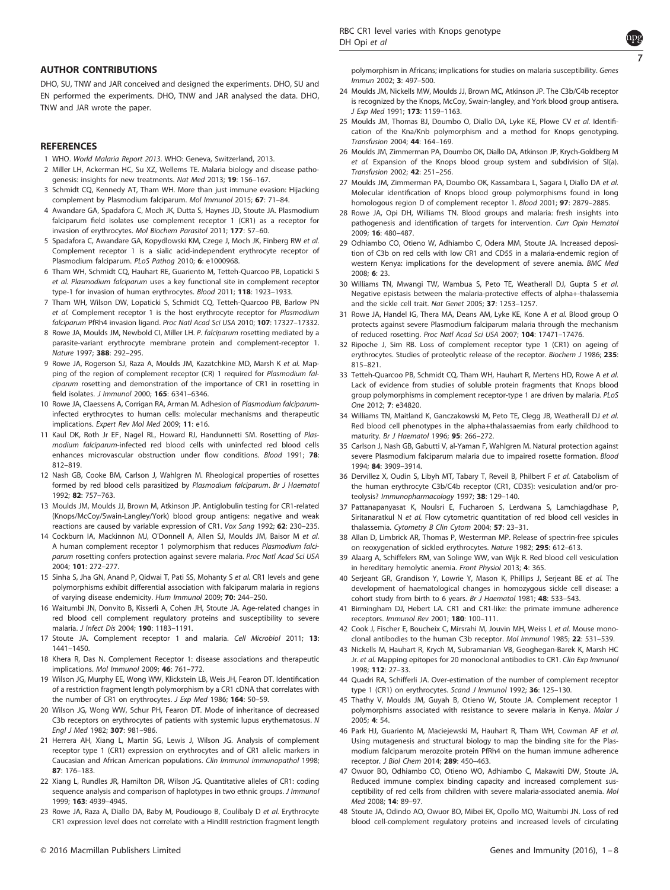#### <span id="page-6-0"></span>**AUTHOR CONTRIBUTIONS**

DHO, SU, TNW and JAR conceived and designed the experiments. DHO, SU and EN performed the experiments. DHO, TNW and JAR analysed the data. DHO, TNW and JAR wrote the paper.

#### **REFERENCES**

- 1 WHO. World Malaria Report 2013. WHO: Geneva, Switzerland, 2013.
- 2 Miller LH, Ackerman HC, Su XZ, Wellems TE. Malaria biology and disease pathogenesis: insights for new treatments. Nat Med 2013; 19: 156–167.
- 3 Schmidt CQ, Kennedy AT, Tham WH. More than just immune evasion: Hijacking complement by Plasmodium falciparum. Mol Immunol 2015; 67: 71–84.
- 4 Awandare GA, Spadafora C, Moch JK, Dutta S, Haynes JD, Stoute JA. Plasmodium falciparum field isolates use complement receptor 1 (CR1) as a receptor for invasion of erythrocytes. Mol Biochem Parasitol 2011; 177: 57–60.
- 5 Spadafora C, Awandare GA, Kopydlowski KM, Czege J, Moch JK, Finberg RW et al. Complement receptor 1 is a sialic acid-independent erythrocyte receptor of Plasmodium falciparum. PLoS Pathog 2010; 6: e1000968.
- 6 Tham WH, Schmidt CQ, Hauhart RE, Guariento M, Tetteh-Quarcoo PB, Lopaticki S et al. Plasmodium falciparum uses a key functional site in complement receptor type-1 for invasion of human erythrocytes. Blood 2011; 118: 1923–1933.
- 7 Tham WH, Wilson DW, Lopaticki S, Schmidt CQ, Tetteh-Quarcoo PB, Barlow PN et al. Complement receptor 1 is the host erythrocyte receptor for Plasmodium falciparum PfRh4 invasion ligand. Proc Natl Acad Sci USA 2010; 107: 17327–17332.
- 8 Rowe JA, Moulds JM, Newbold CI, Miller LH. P. falciparum rosetting mediated by a parasite-variant erythrocyte membrane protein and complement-receptor 1. Nature 1997; 388: 292–295.
- 9 Rowe JA, Rogerson SJ, Raza A, Moulds JM, Kazatchkine MD, Marsh K et al. Mapping of the region of complement receptor (CR) 1 required for Plasmodium falciparum rosetting and demonstration of the importance of CR1 in rosetting in field isolates. J Immunol 2000; 165: 6341–6346.
- 10 Rowe JA, Claessens A, Corrigan RA, Arman M. Adhesion of Plasmodium falciparuminfected erythrocytes to human cells: molecular mechanisms and therapeutic implications. Expert Rev Mol Med 2009; 11: e16.
- 11 Kaul DK, Roth Jr EF, Nagel RL, Howard RJ, Handunnetti SM. Rosetting of Plasmodium falciparum-infected red blood cells with uninfected red blood cells enhances microvascular obstruction under flow conditions. Blood 1991: **78:** 812–819.
- 12 Nash GB, Cooke BM, Carlson J, Wahlgren M. Rheological properties of rosettes formed by red blood cells parasitized by Plasmodium falciparum. Br J Haematol 1992; 82: 757–763.
- 13 Moulds JM, Moulds JJ, Brown M, Atkinson JP. Antiglobulin testing for CR1-related (Knops/McCoy/Swain-Langley/York) blood group antigens: negative and weak reactions are caused by variable expression of CR1. Vox Sang 1992; 62: 230–235.
- 14 Cockburn IA, Mackinnon MJ, O'Donnell A, Allen SJ, Moulds JM, Baisor M et al. A human complement receptor 1 polymorphism that reduces Plasmodium falciparum rosetting confers protection against severe malaria. Proc Natl Acad Sci USA 2004; 101: 272–277.
- 15 Sinha S, Jha GN, Anand P, Qidwai T, Pati SS, Mohanty S et al. CR1 levels and gene polymorphisms exhibit differential association with falciparum malaria in regions of varying disease endemicity. Hum Immunol 2009; 70: 244–250.
- 16 Waitumbi JN, Donvito B, Kisserli A, Cohen JH, Stoute JA. Age-related changes in red blood cell complement regulatory proteins and susceptibility to severe malaria. J Infect Dis 2004; 190: 1183–1191.
- 17 Stoute JA. Complement receptor 1 and malaria. Cell Microbiol 2011; 13: 1441–1450.
- 18 Khera R, Das N. Complement Receptor 1: disease associations and therapeutic implications. Mol Immunol 2009; 46: 761–772.
- 19 Wilson JG, Murphy EE, Wong WW, Klickstein LB, Weis JH, Fearon DT. Identification of a restriction fragment length polymorphism by a CR1 cDNA that correlates with the number of CR1 on erythrocytes. J Exp Med 1986; 164: 50-59.
- 20 Wilson JG, Wong WW, Schur PH, Fearon DT. Mode of inheritance of decreased C3b receptors on erythrocytes of patients with systemic lupus erythematosus. N Engl J Med 1982; 307: 981–986.
- 21 Herrera AH, Xiang L, Martin SG, Lewis J, Wilson JG. Analysis of complement receptor type 1 (CR1) expression on erythrocytes and of CR1 allelic markers in Caucasian and African American populations. Clin Immunol immunopathol 1998; 87: 176–183.
- 22 Xiang L, Rundles JR, Hamilton DR, Wilson JG. Quantitative alleles of CR1: coding sequence analysis and comparison of haplotypes in two ethnic groups. J Immunol 1999; 163: 4939–4945.
- 23 Rowe JA, Raza A, Diallo DA, Baby M, Poudiougo B, Coulibaly D et al. Erythrocyte CR1 expression level does not correlate with a HindIII restriction fragment length

polymorphism in Africans; implications for studies on malaria susceptibility. Genes Immun 2002; 3: 497–500.

- 24 Moulds JM, Nickells MW, Moulds JJ, Brown MC, Atkinson JP. The C3b/C4b receptor is recognized by the Knops, McCoy, Swain-langley, and York blood group antisera. J Exp Med 1991; 173: 1159–1163.
- 25 Moulds JM, Thomas BJ, Doumbo O, Diallo DA, Lyke KE, Plowe CV et al. Identification of the Kna/Knb polymorphism and a method for Knops genotyping. Transfusion 2004; 44: 164–169.
- 26 Moulds JM, Zimmerman PA, Doumbo OK, Diallo DA, Atkinson JP, Krych-Goldberg M et al. Expansion of the Knops blood group system and subdivision of Sl(a). Transfusion 2002; 42: 251–256.
- 27 Moulds JM, Zimmerman PA, Doumbo OK, Kassambara L, Sagara I, Diallo DA et al. Molecular identification of Knops blood group polymorphisms found in long homologous region D of complement receptor 1. Blood 2001; 97: 2879–2885.
- 28 Rowe JA, Opi DH, Williams TN. Blood groups and malaria: fresh insights into pathogenesis and identification of targets for intervention. Curr Opin Hematol 2009; 16: 480–487.
- 29 Odhiambo CO, Otieno W, Adhiambo C, Odera MM, Stoute JA. Increased deposition of C3b on red cells with low CR1 and CD55 in a malaria-endemic region of western Kenya: implications for the development of severe anemia. BMC Med 2008; 6: 23.
- 30 Williams TN, Mwangi TW, Wambua S, Peto TE, Weatherall DJ, Gupta S et al. Negative epistasis between the malaria-protective effects of alpha+-thalassemia and the sickle cell trait. Nat Genet 2005; 37: 1253–1257.
- 31 Rowe JA, Handel IG, Thera MA, Deans AM, Lyke KE, Kone A et al. Blood group O protects against severe Plasmodium falciparum malaria through the mechanism of reduced rosetting. Proc Natl Acad Sci USA 2007; 104: 17471–17476.
- 32 Ripoche J, Sim RB. Loss of complement receptor type 1 (CR1) on ageing of erythrocytes. Studies of proteolytic release of the receptor. Biochem J 1986; 235: 815–821.
- 33 Tetteh-Quarcoo PB, Schmidt CQ, Tham WH, Hauhart R, Mertens HD, Rowe A et al. Lack of evidence from studies of soluble protein fragments that Knops blood group polymorphisms in complement receptor-type 1 are driven by malaria. PLoS One 2012; 7: e34820.
- 34 Williams TN, Maitland K, Ganczakowski M, Peto TE, Clegg JB, Weatherall DJ et al. Red blood cell phenotypes in the alpha+thalassaemias from early childhood to maturity. Br J Haematol 1996; 95: 266–272.
- 35 Carlson J, Nash GB, Gabutti V, al-Yaman F, Wahlgren M. Natural protection against severe Plasmodium falciparum malaria due to impaired rosette formation. Blood 1994; 84: 3909–3914.
- 36 Dervillez X, Oudin S, Libyh MT, Tabary T, Reveil B, Philbert F et al. Catabolism of the human erythrocyte C3b/C4b receptor (CR1, CD35): vesiculation and/or proteolysis? Immunopharmacology 1997; 38: 129-140.
- 37 Pattanapanyasat K, Noulsri E, Fucharoen S, Lerdwana S, Lamchiagdhase P, Siritanaratkul N et al. Flow cytometric quantitation of red blood cell vesicles in thalassemia. Cytometry B Clin Cytom 2004; 57: 23–31.
- 38 Allan D, Limbrick AR, Thomas P, Westerman MP. Release of spectrin-free spicules on reoxygenation of sickled erythrocytes. Nature 1982; 295: 612–613.
- 39 Alaarg A, Schiffelers RM, van Solinge WW, van Wijk R. Red blood cell vesiculation in hereditary hemolytic anemia. Front Physiol 2013; 4: 365.
- 40 Serjeant GR, Grandison Y, Lowrie Y, Mason K, Phillips J, Serjeant BE et al. The development of haematological changes in homozygous sickle cell disease: a cohort study from birth to 6 years. Br J Haematol 1981; 48: 533-543.
- 41 Birmingham DJ, Hebert LA. CR1 and CR1-like: the primate immune adherence receptors. Immunol Rev 2001; 180: 100–111.
- 42 Cook J, Fischer E, Boucheix C, Mirsrahi M, Jouvin MH, Weiss L et al. Mouse monoclonal antibodies to the human C3b receptor. Mol Immunol 1985; 22: 531–539.
- 43 Nickells M, Hauhart R, Krych M, Subramanian VB, Geoghegan-Barek K, Marsh HC Jr. et al. Mapping epitopes for 20 monoclonal antibodies to CR1. Clin Exp Immunol 1998; 112: 27–33.
- 44 Quadri RA, Schifferli JA. Over-estimation of the number of complement receptor type 1 (CR1) on erythrocytes. Scand J Immunol 1992; 36: 125-130.
- 45 Thathy V, Moulds JM, Guyah B, Otieno W, Stoute JA. Complement receptor 1 polymorphisms associated with resistance to severe malaria in Kenya. Malar J 2005; 4: 54.
- 46 Park HJ, Guariento M, Maciejewski M, Hauhart R, Tham WH, Cowman AF et al. Using mutagenesis and structural biology to map the binding site for the Plasmodium falciparum merozoite protein PfRh4 on the human immune adherence receptor. J Biol Chem 2014; 289: 450–463.
- 47 Owuor BO, Odhiambo CO, Otieno WO, Adhiambo C, Makawiti DW, Stoute JA. Reduced immune complex binding capacity and increased complement susceptibility of red cells from children with severe malaria-associated anemia. Mol Med 2008; 14: 89–97.
- 48 Stoute JA, Odindo AO, Owuor BO, Mibei EK, Opollo MO, Waitumbi JN. Loss of red blood cell-complement regulatory proteins and increased levels of circulating

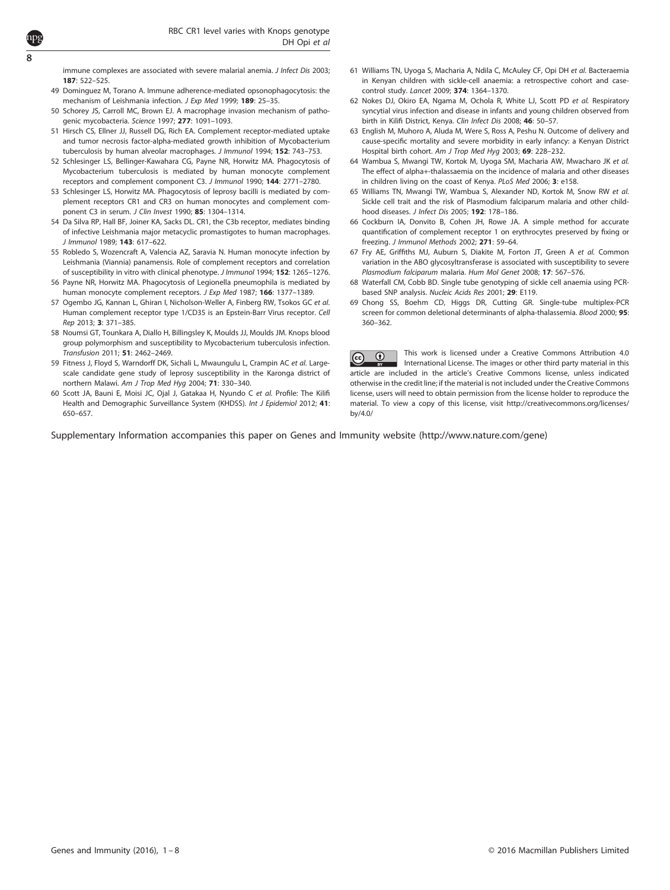<span id="page-7-0"></span>8

immune complexes are associated with severe malarial anemia. J Infect Dis 2003; 187: 522–525.

- 49 Dominguez M, Torano A. Immune adherence-mediated opsonophagocytosis: the mechanism of Leishmania infection. J Exp Med 1999; 189: 25–35.
- 50 Schorey JS, Carroll MC, Brown EJ. A macrophage invasion mechanism of pathogenic mycobacteria. Science 1997; 277: 1091–1093.
- 51 Hirsch CS, Ellner JJ, Russell DG, Rich EA. Complement receptor-mediated uptake and tumor necrosis factor-alpha-mediated growth inhibition of Mycobacterium tuberculosis by human alveolar macrophages. J Immunol 1994; 152: 743-753.
- 52 Schlesinger LS, Bellinger-Kawahara CG, Payne NR, Horwitz MA. Phagocytosis of Mycobacterium tuberculosis is mediated by human monocyte complement receptors and complement component C3. J Immunol 1990; 144: 2771–2780.
- 53 Schlesinger LS, Horwitz MA. Phagocytosis of leprosy bacilli is mediated by complement receptors CR1 and CR3 on human monocytes and complement component C3 in serum. J Clin Invest 1990; 85: 1304–1314.
- 54 Da Silva RP, Hall BF, Joiner KA, Sacks DL. CR1, the C3b receptor, mediates binding of infective Leishmania major metacyclic promastigotes to human macrophages. J Immunol 1989; 143: 617–622.
- 55 Robledo S, Wozencraft A, Valencia AZ, Saravia N. Human monocyte infection by Leishmania (Viannia) panamensis. Role of complement receptors and correlation of susceptibility in vitro with clinical phenotype. J Immunol 1994; 152: 1265–1276.
- 56 Payne NR, Horwitz MA. Phagocytosis of Legionella pneumophila is mediated by human monocyte complement receptors. J Exp Med 1987; 166: 1377-1389.
- 57 Ogembo JG, Kannan L, Ghiran I, Nicholson-Weller A, Finberg RW, Tsokos GC et al. Human complement receptor type 1/CD35 is an Epstein-Barr Virus receptor. Cell
- Rep 2013; 3: 371–385. 58 Noumsi GT, Tounkara A, Diallo H, Billingsley K, Moulds JJ, Moulds JM. Knops blood group polymorphism and susceptibility to Mycobacterium tuberculosis infection. Transfusion 2011; 51: 2462–2469.
- 59 Fitness J, Floyd S, Warndorff DK, Sichali L, Mwaungulu L, Crampin AC et al. Largescale candidate gene study of leprosy susceptibility in the Karonga district of northern Malawi. Am J Trop Med Hyg 2004; 71: 330–340.
- 60 Scott JA, Bauni E, Moisi JC, Ojal J, Gatakaa H, Nyundo C et al. Profile: The Kilifi Health and Demographic Surveillance System (KHDSS). Int J Epidemiol 2012; 41: 650–657.
- 61 Williams TN, Uyoga S, Macharia A, Ndila C, McAuley CF, Opi DH et al. Bacteraemia in Kenyan children with sickle-cell anaemia: a retrospective cohort and casecontrol study. Lancet 2009; 374: 1364–1370.
- 62 Nokes DJ, Okiro EA, Ngama M, Ochola R, White LJ, Scott PD et al. Respiratory syncytial virus infection and disease in infants and young children observed from birth in Kilifi District, Kenya. Clin Infect Dis 2008; 46: 50–57.
- 63 English M, Muhoro A, Aluda M, Were S, Ross A, Peshu N. Outcome of delivery and cause-specific mortality and severe morbidity in early infancy: a Kenyan District Hospital birth cohort. Am J Trop Med Hyg 2003; 69: 228–232.
- 64 Wambua S, Mwangi TW, Kortok M, Uyoga SM, Macharia AW, Mwacharo JK et al. The effect of alpha+-thalassaemia on the incidence of malaria and other diseases in children living on the coast of Kenya. PLoS Med 2006; 3: e158.
- 65 Williams TN, Mwangi TW, Wambua S, Alexander ND, Kortok M, Snow RW et al. Sickle cell trait and the risk of Plasmodium falciparum malaria and other childhood diseases. J Infect Dis 2005; 192: 178–186.
- 66 Cockburn IA, Donvito B, Cohen JH, Rowe JA. A simple method for accurate quantification of complement receptor 1 on erythrocytes preserved by fixing or freezing. J Immunol Methods 2002; 271: 59–64.
- 67 Fry AE, Griffiths MJ, Auburn S, Diakite M, Forton JT, Green A et al. Common variation in the ABO glycosyltransferase is associated with susceptibility to severe Plasmodium falciparum malaria. Hum Mol Genet 2008; 17: 567–576.
- 68 Waterfall CM, Cobb BD. Single tube genotyping of sickle cell anaemia using PCRbased SNP analysis. Nucleic Acids Res 2001; 29: E119.
- 69 Chong SS, Boehm CD, Higgs DR, Cutting GR. Single-tube multiplex-PCR screen for common deletional determinants of alpha-thalassemia. Blood 2000; 95: 360–362.

This work is licensed under a Creative Commons Attribution 4.0  $\bigcirc$  $|$  (cc) International License. The images or other third party material in this article are included in the article's Creative Commons license, unless indicated otherwise in the credit line; if the material is not included under the Creative Commons license, users will need to obtain permission from the license holder to reproduce the material. To view a copy of this license, visit [http://creativecommons.org/licenses/](http://creativecommons.org/licenses/by/4.0/) [by/4.0/](http://creativecommons.org/licenses/by/4.0/)

Supplementary Information accompanies this paper on Genes and Immunity website (http://www.nature.com/gene)